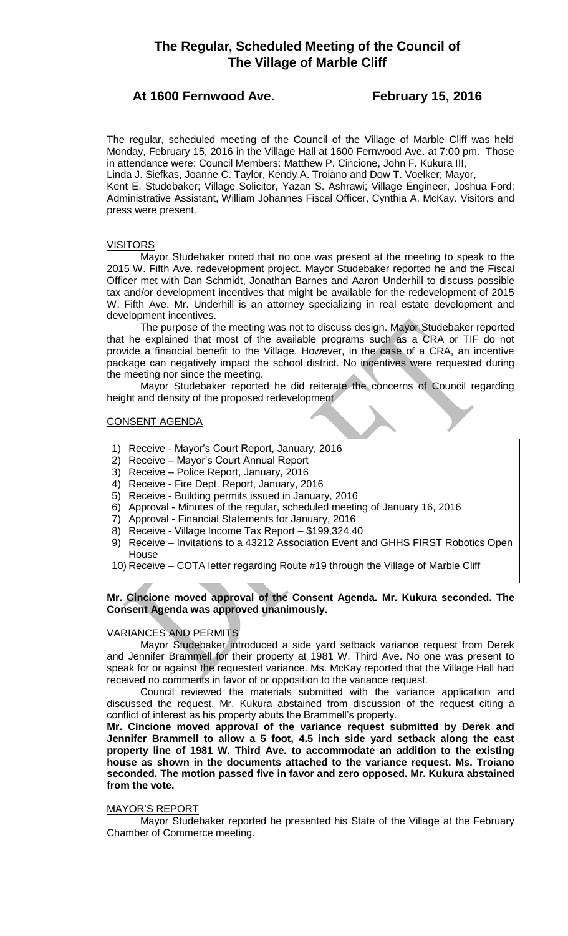# **The Regular, Scheduled Meeting of the Council of The Village of Marble Cliff**

# **At 1600 Fernwood Ave. February 15, 2016**

The regular, scheduled meeting of the Council of the Village of Marble Cliff was held Monday, February 15, 2016 in the Village Hall at 1600 Fernwood Ave. at 7:00 pm. Those in attendance were: Council Members: Matthew P. Cincione, John F. Kukura III, Linda J. Siefkas, Joanne C. Taylor, Kendy A. Troiano and Dow T. Voelker; Mayor, Kent E. Studebaker; Village Solicitor, Yazan S. Ashrawi; Village Engineer, Joshua Ford; Administrative Assistant, William Johannes Fiscal Officer, Cynthia A. McKay. Visitors and press were present.

# VISITORS

Mayor Studebaker noted that no one was present at the meeting to speak to the 2015 W. Fifth Ave. redevelopment project. Mayor Studebaker reported he and the Fiscal Officer met with Dan Schmidt, Jonathan Barnes and Aaron Underhill to discuss possible tax and/or development incentives that might be available for the redevelopment of 2015 W. Fifth Ave. Mr. Underhill is an attorney specializing in real estate development and development incentives.

The purpose of the meeting was not to discuss design. Mayor Studebaker reported that he explained that most of the available programs such as a CRA or TIF do not provide a financial benefit to the Village. However, in the case of a CRA, an incentive package can negatively impact the school district. No incentives were requested during the meeting nor since the meeting.

Mayor Studebaker reported he did reiterate the concerns of Council regarding height and density of the proposed redevelopment

# CONSENT AGENDA

- 1) Receive Mayor's Court Report, January, 2016
- 2) Receive Mayor's Court Annual Report
- 3) Receive Police Report, January, 2016
- 4) Receive Fire Dept. Report, January, 2016
- 5) Receive Building permits issued in January, 2016
- 6) Approval Minutes of the regular, scheduled meeting of January 16, 2016
- 7) Approval Financial Statements for January, 2016
- 8) Receive Village Income Tax Report \$199,324.40
- 9) Receive Invitations to a 43212 Association Event and GHHS FIRST Robotics Open **House**
- 10) Receive COTA letter regarding Route #19 through the Village of Marble Cliff

# **Mr. Cincione moved approval of the Consent Agenda. Mr. Kukura seconded. The Consent Agenda was approved unanimously.**

# VARIANCES AND PERMITS

Mayor Studebaker introduced a side yard setback variance request from Derek and Jennifer Brammell for their property at 1981 W. Third Ave. No one was present to speak for or against the requested variance. Ms. McKay reported that the Village Hall had received no comments in favor of or opposition to the variance request.

Council reviewed the materials submitted with the variance application and discussed the request. Mr. Kukura abstained from discussion of the request citing a conflict of interest as his property abuts the Brammell's property.

**Mr. Cincione moved approval of the variance request submitted by Derek and Jennifer Brammell to allow a 5 foot, 4.5 inch side yard setback along the east property line of 1981 W. Third Ave. to accommodate an addition to the existing house as shown in the documents attached to the variance request. Ms. Troiano seconded. The motion passed five in favor and zero opposed. Mr. Kukura abstained from the vote.**

# MAYOR'S REPORT

Mayor Studebaker reported he presented his State of the Village at the February Chamber of Commerce meeting.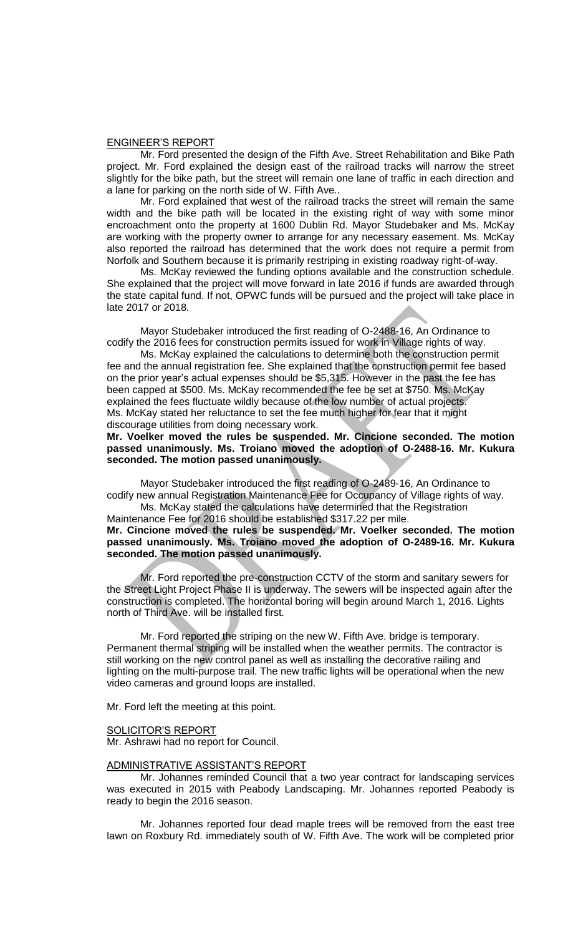#### ENGINEER'S REPORT

Mr. Ford presented the design of the Fifth Ave. Street Rehabilitation and Bike Path project. Mr. Ford explained the design east of the railroad tracks will narrow the street slightly for the bike path, but the street will remain one lane of traffic in each direction and a lane for parking on the north side of W. Fifth Ave..

Mr. Ford explained that west of the railroad tracks the street will remain the same width and the bike path will be located in the existing right of way with some minor encroachment onto the property at 1600 Dublin Rd. Mayor Studebaker and Ms. McKay are working with the property owner to arrange for any necessary easement. Ms. McKay also reported the railroad has determined that the work does not require a permit from Norfolk and Southern because it is primarily restriping in existing roadway right-of-way.

Ms. McKay reviewed the funding options available and the construction schedule. She explained that the project will move forward in late 2016 if funds are awarded through the state capital fund. If not, OPWC funds will be pursued and the project will take place in late 2017 or 2018.

Mayor Studebaker introduced the first reading of O-2488-16, An Ordinance to codify the 2016 fees for construction permits issued for work in Village rights of way.

Ms. McKay explained the calculations to determine both the construction permit fee and the annual registration fee. She explained that the construction permit fee based on the prior year's actual expenses should be \$5,315. However in the past the fee has been capped at \$500. Ms. McKay recommended the fee be set at \$750. Ms. McKay explained the fees fluctuate wildly because of the low number of actual projects. Ms. McKay stated her reluctance to set the fee much higher for fear that it might discourage utilities from doing necessary work.

**Mr. Voelker moved the rules be suspended. Mr. Cincione seconded. The motion passed unanimously. Ms. Troiano moved the adoption of O-2488-16. Mr. Kukura seconded. The motion passed unanimously.**

Mayor Studebaker introduced the first reading of O-2489-16, An Ordinance to codify new annual Registration Maintenance Fee for Occupancy of Village rights of way.

Ms. McKay stated the calculations have determined that the Registration Maintenance Fee for 2016 should be established \$317.22 per mile. **Mr. Cincione moved the rules be suspended. Mr. Voelker seconded. The motion passed unanimously. Ms. Troiano moved the adoption of O-2489-16. Mr. Kukura seconded. The motion passed unanimously.**

Mr. Ford reported the pre-construction CCTV of the storm and sanitary sewers for the Street Light Project Phase II is underway. The sewers will be inspected again after the construction is completed. The horizontal boring will begin around March 1, 2016. Lights north of Third Ave. will be installed first.

Mr. Ford reported the striping on the new W. Fifth Ave. bridge is temporary. Permanent thermal striping will be installed when the weather permits. The contractor is still working on the new control panel as well as installing the decorative railing and lighting on the multi-purpose trail. The new traffic lights will be operational when the new video cameras and ground loops are installed.

Mr. Ford left the meeting at this point.

#### SOLICITOR'S REPORT

Mr. Ashrawi had no report for Council.

### ADMINISTRATIVE ASSISTANT'S REPORT

Mr. Johannes reminded Council that a two year contract for landscaping services was executed in 2015 with Peabody Landscaping. Mr. Johannes reported Peabody is ready to begin the 2016 season.

Mr. Johannes reported four dead maple trees will be removed from the east tree lawn on Roxbury Rd. immediately south of W. Fifth Ave. The work will be completed prior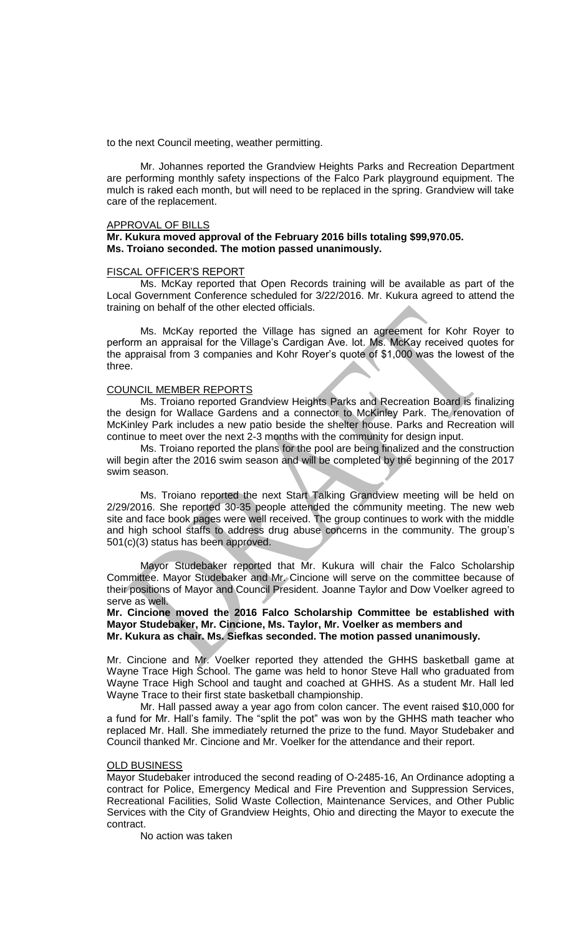to the next Council meeting, weather permitting.

Mr. Johannes reported the Grandview Heights Parks and Recreation Department are performing monthly safety inspections of the Falco Park playground equipment. The mulch is raked each month, but will need to be replaced in the spring. Grandview will take care of the replacement.

# APPROVAL OF BILLS

## **Mr. Kukura moved approval of the February 2016 bills totaling \$99,970.05. Ms. Troiano seconded. The motion passed unanimously.**

#### FISCAL OFFICER'S REPORT

Ms. McKay reported that Open Records training will be available as part of the Local Government Conference scheduled for 3/22/2016. Mr. Kukura agreed to attend the training on behalf of the other elected officials.

Ms. McKay reported the Village has signed an agreement for Kohr Royer to perform an appraisal for the Village's Cardigan Ave. lot. Ms. McKay received quotes for the appraisal from 3 companies and Kohr Royer's quote of \$1,000 was the lowest of the three.

#### COUNCIL MEMBER REPORTS

Ms. Troiano reported Grandview Heights Parks and Recreation Board is finalizing the design for Wallace Gardens and a connector to McKinley Park. The renovation of McKinley Park includes a new patio beside the shelter house. Parks and Recreation will continue to meet over the next 2-3 months with the community for design input.

Ms. Troiano reported the plans for the pool are being finalized and the construction will begin after the 2016 swim season and will be completed by the beginning of the 2017 swim season.

Ms. Troiano reported the next Start Talking Grandview meeting will be held on 2/29/2016. She reported 30-35 people attended the community meeting. The new web site and face book pages were well received. The group continues to work with the middle and high school staffs to address drug abuse concerns in the community. The group's 501(c)(3) status has been approved.

Mayor Studebaker reported that Mr. Kukura will chair the Falco Scholarship Committee. Mayor Studebaker and Mr. Cincione will serve on the committee because of their positions of Mayor and Council President. Joanne Taylor and Dow Voelker agreed to serve as well.

# **Mr. Cincione moved the 2016 Falco Scholarship Committee be established with Mayor Studebaker, Mr. Cincione, Ms. Taylor, Mr. Voelker as members and Mr. Kukura as chair. Ms. Siefkas seconded. The motion passed unanimously.**

Mr. Cincione and Mr. Voelker reported they attended the GHHS basketball game at Wayne Trace High School. The game was held to honor Steve Hall who graduated from Wayne Trace High School and taught and coached at GHHS. As a student Mr. Hall led Wayne Trace to their first state basketball championship.

Mr. Hall passed away a year ago from colon cancer. The event raised \$10,000 for a fund for Mr. Hall's family. The "split the pot" was won by the GHHS math teacher who replaced Mr. Hall. She immediately returned the prize to the fund. Mayor Studebaker and Council thanked Mr. Cincione and Mr. Voelker for the attendance and their report.

#### OLD BUSINESS

Mayor Studebaker introduced the second reading of O-2485-16, An Ordinance adopting a contract for Police, Emergency Medical and Fire Prevention and Suppression Services, Recreational Facilities, Solid Waste Collection, Maintenance Services, and Other Public Services with the City of Grandview Heights, Ohio and directing the Mayor to execute the contract.

No action was taken